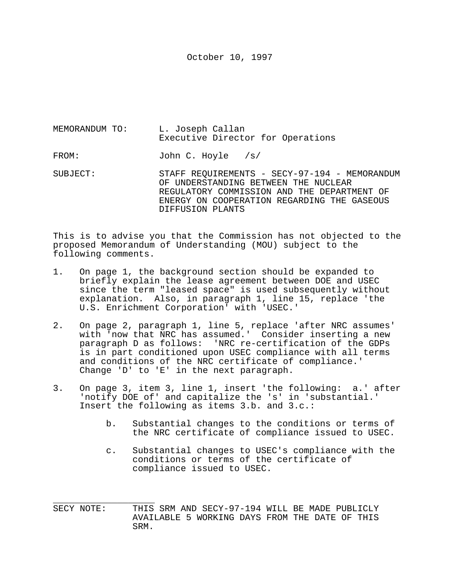October 10, 1997

MEMORANDUM TO: L. Joseph Callan Executive Director for Operations FROM: John C. Hoyle /s/ SUBJECT: STAFF REQUIREMENTS - SECY-97-194 - MEMORANDUM OF UNDERSTANDING BETWEEN THE NUCLEAR REGULATORY COMMISSION AND THE DEPARTMENT OF

DIFFUSION PLANTS

This is to advise you that the Commission has not objected to the proposed Memorandum of Understanding (MOU) subject to the following comments.

ENERGY ON COOPERATION REGARDING THE GASEOUS

- 1. On page 1, the background section should be expanded to briefly explain the lease agreement between DOE and USEC since the term "leased space" is used subsequently without explanation. Also, in paragraph 1, line 15, replace 'the U.S. Enrichment Corporation' with 'USEC.'
- 2. On page 2, paragraph 1, line 5, replace 'after NRC assumes' with 'now that NRC has assumed.' Consider inserting a new paragraph D as follows: 'NRC re-certification of the GDPs is in part conditioned upon USEC compliance with all terms and conditions of the NRC certificate of compliance.' Change 'D' to 'E' in the next paragraph.
- 3. On page 3, item 3, line 1, insert 'the following: a.' after 'notify DOE of' and capitalize the 's' in 'substantial.' Insert the following as items 3.b. and 3.c.:
	- b. Substantial changes to the conditions or terms of the NRC certificate of compliance issued to USEC.
	- c. Substantial changes to USEC's compliance with the conditions or terms of the certificate of compliance issued to USEC.
- SECY NOTE: THIS SRM AND SECY-97-194 WILL BE MADE PUBLICLY AVAILABLE 5 WORKING DAYS FROM THE DATE OF THIS SRM.

\_\_\_\_\_\_\_\_\_\_\_\_\_\_\_\_\_\_\_